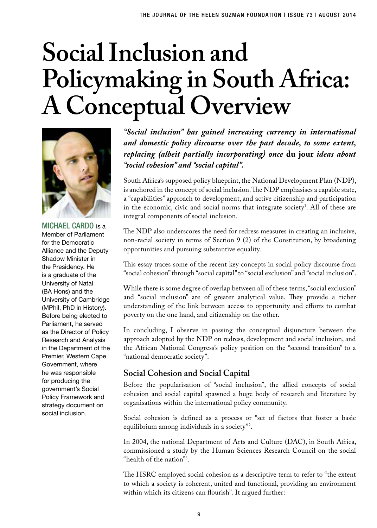# **Social Inclusion and Policymaking in South Africa: A Conceptual Overview**



MICHAEL CARDO is a Member of Parliament for the Democratic Alliance and the Deputy Shadow Minister in the Presidency. He is a graduate of the University of Natal (BA Hons) and the University of Cambridge (MPhil, PhD in History). Before being elected to Parliament, he served as the Director of Policy Research and Analysis in the Department of the Premier, Western Cape Government, where he was responsible for producing the government's Social Policy Framework and strategy document on social inclusion.

*"Social inclusion" has gained increasing currency in international and domestic policy discourse over the past decade, to some extent, replacing (albeit partially incorporating) once* **du jour** *ideas about "social cohesion" and "social capital".*

South Africa's supposed policy blueprint, the National Development Plan (NDP), is anchored in the concept of social inclusion. The NDP emphasises a capable state, a "capabilities" approach to development, and active citizenship and participation in the economic, civic and social norms that integrate society<sup>1</sup>. All of these are integral components of social inclusion.

The NDP also underscores the need for redress measures in creating an inclusive, non-racial society in terms of Section 9 (2) of the Constitution, by broadening opportunities and pursuing substantive equality.

This essay traces some of the recent key concepts in social policy discourse from "social cohesion" through "social capital" to "social exclusion" and "social inclusion".

While there is some degree of overlap between all of these terms, "social exclusion" and "social inclusion" are of greater analytical value. They provide a richer understanding of the link between access to opportunity and efforts to combat poverty on the one hand, and citizenship on the other.

In concluding, I observe in passing the conceptual disjuncture between the approach adopted by the NDP on redress, development and social inclusion, and the African National Congress's policy position on the "second transition" to a "national democratic society".

#### **Social Cohesion and Social Capital**

Before the popularisation of "social inclusion", the allied concepts of social cohesion and social capital spawned a huge body of research and literature by organisations within the international policy community.

Social cohesion is defined as a process or "set of factors that foster a basic equilibrium among individuals in a society"2 .

In 2004, the national Department of Arts and Culture (DAC), in South Africa, commissioned a study by the Human Sciences Research Council on the social "health of the nation"<sup>3</sup>.

The HSRC employed social cohesion as a descriptive term to refer to "the extent to which a society is coherent, united and functional, providing an environment within which its citizens can flourish". It argued further: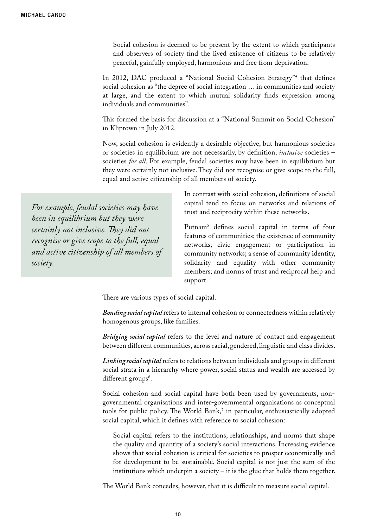Social cohesion is deemed to be present by the extent to which participants and observers of society find the lived existence of citizens to be relatively peaceful, gainfully employed, harmonious and free from deprivation.

In 2012, DAC produced a "National Social Cohesion Strategy"4 that defines social cohesion as "the degree of social integration … in communities and society at large, and the extent to which mutual solidarity finds expression among individuals and communities".

This formed the basis for discussion at a "National Summit on Social Cohesion" in Kliptown in July 2012.

Now, social cohesion is evidently a desirable objective, but harmonious societies or societies in equilibrium are not necessarily, by definition, *inclusive* societies – societies *for all*. For example, feudal societies may have been in equilibrium but they were certainly not inclusive. They did not recognise or give scope to the full, equal and active citizenship of all members of society.

*For example, feudal societies may have been in equilibrium but they were certainly not inclusive. They did not recognise or give scope to the full, equal and active citizenship of all members of society.*

In contrast with social cohesion, definitions of social capital tend to focus on networks and relations of trust and reciprocity within these networks.

Putnam<sup>3</sup> defines social capital in terms of four features of communities: the existence of community networks; civic engagement or participation in community networks; a sense of community identity, solidarity and equality with other community members; and norms of trust and reciprocal help and support.

There are various types of social capital.

*Bonding social capital* refers to internal cohesion or connectedness within relatively homogenous groups, like families.

*Bridging social capital* refers to the level and nature of contact and engagement between different communities, across racial, gendered, linguistic and class divides.

*Linking social capital* refers to relations between individuals and groups in different social strata in a hierarchy where power, social status and wealth are accessed by different groups<sup>6</sup>.

Social cohesion and social capital have both been used by governments, nongovernmental organisations and inter-governmental organisations as conceptual tools for public policy. The World Bank,<sup>7</sup> in particular, enthusiastically adopted social capital, which it defines with reference to social cohesion:

Social capital refers to the institutions, relationships, and norms that shape the quality and quantity of a society's social interactions. Increasing evidence shows that social cohesion is critical for societies to prosper economically and for development to be sustainable. Social capital is not just the sum of the institutions which underpin a society – it is the glue that holds them together.

The World Bank concedes, however, that it is difficult to measure social capital.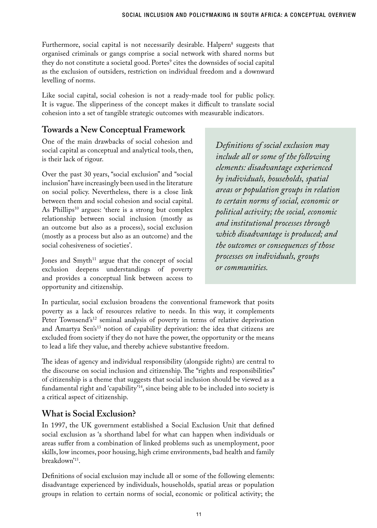Furthermore, social capital is not necessarily desirable. Halpern<sup>8</sup> suggests that organised criminals or gangs comprise a social network with shared norms but they do not constitute a societal good. Portes' cites the downsides of social capital as the exclusion of outsiders, restriction on individual freedom and a downward levelling of norms.

Like social capital, social cohesion is not a ready-made tool for public policy. It is vague. The slipperiness of the concept makes it difficult to translate social cohesion into a set of tangible strategic outcomes with measurable indicators.

### **Towards a New Conceptual Framework**

One of the main drawbacks of social cohesion and social capital as conceptual and analytical tools, then, is their lack of rigour.

Over the past 30 years, "social exclusion" and "social inclusion" have increasingly been used in the literature on social policy. Nevertheless, there is a close link between them and social cohesion and social capital. As Phillips<sup>10</sup> argues: 'there is a strong but complex relationship between social inclusion (mostly as an outcome but also as a process), social exclusion (mostly as a process but also as an outcome) and the social cohesiveness of societies'.

Jones and  $Smyth<sup>11</sup>$  argue that the concept of social exclusion deepens understandings of poverty and provides a conceptual link between access to opportunity and citizenship.

*Definitions of social exclusion may include all or some of the following elements: disadvantage experienced by individuals, households, spatial areas or population groups in relation to certain norms of social, economic or political activity; the social, economic and institutional processes through which disadvantage is produced; and the outcomes or consequences of those processes on individuals, groups or communities.* 

In particular, social exclusion broadens the conventional framework that posits poverty as a lack of resources relative to needs. In this way, it complements Peter Townsend's<sup>12</sup> seminal analysis of poverty in terms of relative deprivation and Amartya Sen's<sup>13</sup> notion of capability deprivation: the idea that citizens are excluded from society if they do not have the power, the opportunity or the means to lead a life they value, and thereby achieve substantive freedom.

The ideas of agency and individual responsibility (alongside rights) are central to the discourse on social inclusion and citizenship. The "rights and responsibilities" of citizenship is a theme that suggests that social inclusion should be viewed as a fundamental right and 'capability'14, since being able to be included into society is a critical aspect of citizenship.

## **What is Social Exclusion?**

In 1997, the UK government established a Social Exclusion Unit that defined social exclusion as 'a shorthand label for what can happen when individuals or areas suffer from a combination of linked problems such as unemployment, poor skills, low incomes, poor housing, high crime environments, bad health and family breakdown'15.

Definitions of social exclusion may include all or some of the following elements: disadvantage experienced by individuals, households, spatial areas or population groups in relation to certain norms of social, economic or political activity; the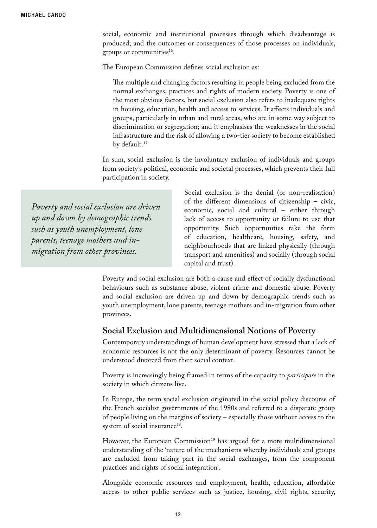social, economic and institutional processes through which disadvantage is produced; and the outcomes or consequences of those processes on individuals, groups or communities<sup>16</sup>.

The European Commission defines social exclusion as:

The multiple and changing factors resulting in people being excluded from the normal exchanges, practices and rights of modern society. Poverty is one of the most obvious factors, but social exclusion also refers to inadequate rights in housing, education, health and access to services. It affects individuals and groups, particularly in urban and rural areas, who are in some way subject to discrimination or segregation; and it emphasises the weaknesses in the social infrastructure and the risk of allowing a two-tier society to become established by default.<sup>17</sup>

In sum, social exclusion is the involuntary exclusion of individuals and groups from society's political, economic and societal processes, which prevents their full participation in society.

*Poverty and social exclusion are driven up and down by demographic trends such as youth unemployment, lone parents, teenage mothers and inmigration from other provinces.*

Social exclusion is the denial (or non-realisation) of the different dimensions of citizenship – civic, economic, social and cultural – either through lack of access to opportunity or failure to use that opportunity. Such opportunities take the form of education, healthcare, housing, safety, and neighbourhoods that are linked physically (through transport and amenities) and socially (through social capital and trust).

Poverty and social exclusion are both a cause and effect of socially dysfunctional behaviours such as substance abuse, violent crime and domestic abuse. Poverty and social exclusion are driven up and down by demographic trends such as youth unemployment, lone parents, teenage mothers and in-migration from other provinces.

#### **Social Exclusion and Multidimensional Notions of Poverty**

Contemporary understandings of human development have stressed that a lack of economic resources is not the only determinant of poverty. Resources cannot be understood divorced from their social context.

Poverty is increasingly being framed in terms of the capacity to *participate* in the society in which citizens live.

In Europe, the term social exclusion originated in the social policy discourse of the French socialist governments of the 1980s and referred to a disparate group of people living on the margins of society – especially those without access to the system of social insurance<sup>18</sup>.

However, the European Commission<sup>19</sup> has argued for a more multidimensional understanding of the 'nature of the mechanisms whereby individuals and groups are excluded from taking part in the social exchanges, from the component practices and rights of social integration'.

Alongside economic resources and employment, health, education, affordable access to other public services such as justice, housing, civil rights, security,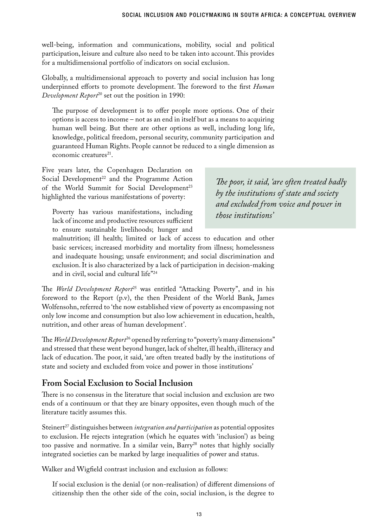well-being, information and communications, mobility, social and political participation, leisure and culture also need to be taken into account. This provides for a multidimensional portfolio of indicators on social exclusion.

Globally, a multidimensional approach to poverty and social inclusion has long underpinned efforts to promote development. The foreword to the first *Human Development Report*<sup>20</sup> set out the position in 1990:

The purpose of development is to offer people more options. One of their options is access to income – not as an end in itself but as a means to acquiring human well being. But there are other options as well, including long life, knowledge, political freedom, personal security, community participation and guaranteed Human Rights. People cannot be reduced to a single dimension as economic creatures $21$ .

Five years later, the Copenhagen Declaration on Social Development<sup>22</sup> and the Programme Action of the World Summit for Social Development<sup>23</sup> highlighted the various manifestations of poverty:

Poverty has various manifestations, including lack of income and productive resources sufficient to ensure sustainable livelihoods; hunger and

*The poor, it said, 'are often treated badly by the institutions of state and society and excluded from voice and power in those institutions'*

malnutrition; ill health; limited or lack of access to education and other basic services; increased morbidity and mortality from illness; homelessness and inadequate housing; unsafe environment; and social discrimination and exclusion. It is also characterized by a lack of participation in decision-making and in civil, social and cultural life"24

The *World Development Report*25 was entitled "Attacking Poverty", and in his foreword to the Report (p.v), the then President of the World Bank, James Wolfensohn, referred to 'the now established view of poverty as encompassing not only low income and consumption but also low achievement in education, health, nutrition, and other areas of human development'.

The *World Development Report*26 opened by referring to "poverty's many dimensions" and stressed that these went beyond hunger, lack of shelter, ill health, illiteracy and lack of education. The poor, it said, 'are often treated badly by the institutions of state and society and excluded from voice and power in those institutions'

#### **From Social Exclusion to Social Inclusion**

There is no consensus in the literature that social inclusion and exclusion are two ends of a continuum or that they are binary opposites, even though much of the literature tacitly assumes this.

Steinert<sup>27</sup> distinguishes between *integration and participation* as potential opposites to exclusion. He rejects integration (which he equates with 'inclusion') as being too passive and normative. In a similar vein, Barry<sup>28</sup> notes that highly socially integrated societies can be marked by large inequalities of power and status.

Walker and Wigfield contrast inclusion and exclusion as follows:

If social exclusion is the denial (or non-realisation) of different dimensions of citizenship then the other side of the coin, social inclusion, is the degree to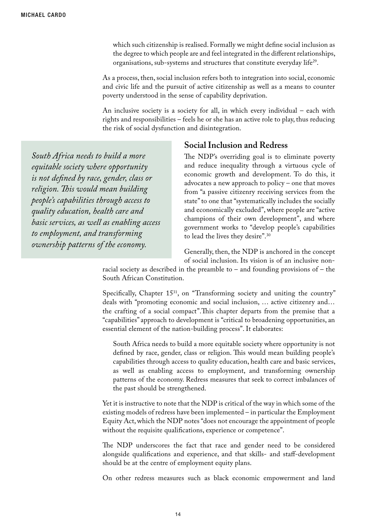which such citizenship is realised. Formally we might define social inclusion as the degree to which people are and feel integrated in the different relationships, organisations, sub-systems and structures that constitute everyday life<sup>29</sup>.

As a process, then, social inclusion refers both to integration into social, economic and civic life and the pursuit of active citizenship as well as a means to counter poverty understood in the sense of capability deprivation.

An inclusive society is a society for all, in which every individual – each with rights and responsibilities – feels he or she has an active role to play, thus reducing the risk of social dysfunction and disintegration.

**Social Inclusion and Redress**

*South Africa needs to build a more equitable society where opportunity is not defined by race, gender, class or religion. This would mean building people's capabilities through access to quality education, health care and basic services, as well as enabling access to employment, and transforming ownership patterns of the economy.*

The NDP's overriding goal is to eliminate poverty and reduce inequality through a virtuous cycle of economic growth and development. To do this, it advocates a new approach to policy – one that moves from "a passive citizenry receiving services from the state" to one that "systematically includes the socially and economically excluded", where people are "active champions of their own development", and where government works to "develop people's capabilities to lead the lives they desire".30

Generally, then, the NDP is anchored in the concept of social inclusion. Its vision is of an inclusive non-

racial society as described in the preamble to – and founding provisions of – the South African Constitution.

Specifically, Chapter 15<sup>31</sup>, on "Transforming society and uniting the country" deals with "promoting economic and social inclusion, … active citizenry and… the crafting of a social compact".This chapter departs from the premise that a "capabilities" approach to development is "critical to broadening opportunities, an essential element of the nation-building process". It elaborates:

South Africa needs to build a more equitable society where opportunity is not defined by race, gender, class or religion. This would mean building people's capabilities through access to quality education, health care and basic services, as well as enabling access to employment, and transforming ownership patterns of the economy. Redress measures that seek to correct imbalances of the past should be strengthened.

Yet it is instructive to note that the NDP is critical of the way in which some of the existing models of redress have been implemented – in particular the Employment Equity Act, which the NDP notes "does not encourage the appointment of people without the requisite qualifications, experience or competence".

The NDP underscores the fact that race and gender need to be considered alongside qualifications and experience, and that skills- and staff-development should be at the centre of employment equity plans.

On other redress measures such as black economic empowerment and land